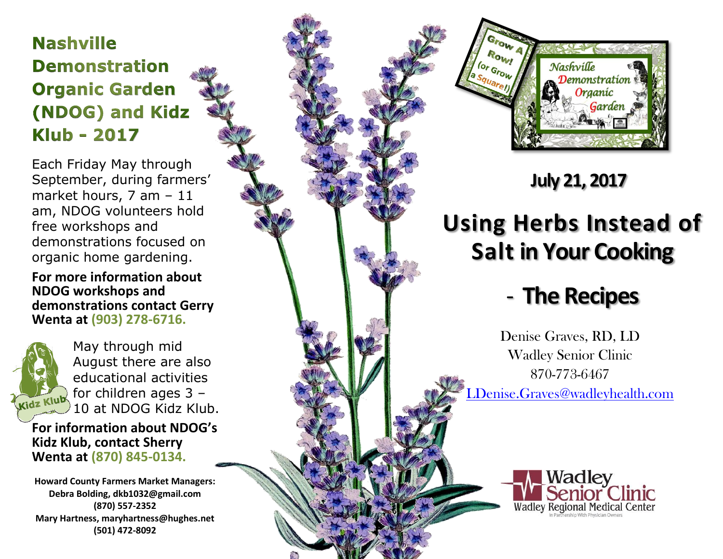## **Nashville Demonstration Organic Garden** (NDOG) and Kidz **Klub - 2017**

Each Friday May through September, during farmers' market hours, 7 am – 11 am, NDOG volunteers hold free workshops and demonstrations focused on organic home gardening.

#### **For more information about NDOG workshops and demonstrations contact Gerry Wenta at (903) 278 -6716.**



May through mid August there are also educational activities for children ages 3 – 10 at NDOG Kidz Klub.

**For information about NDOG's Kidz Klub, contact Sherry Wenta at (870) 845 -0134.**

**Howard County Farmers Market Managers: Debra Bolding, dkb1032@gmail.com (870) 557 -2352 Mary Hartness, maryhartness@hughes.net (501) 472 -8092**



### **July 21, 2017**

# **Using Herbs Instead of Salt in Your Cooking**

## - **The Recipes**

Denise Graves, RD, LD Wadley Senior Clinic 870 -773 -6467 [LDenise.Graves@wadleyhealth.com](mailto:LDenise.Graves@wadleyhealth.com)